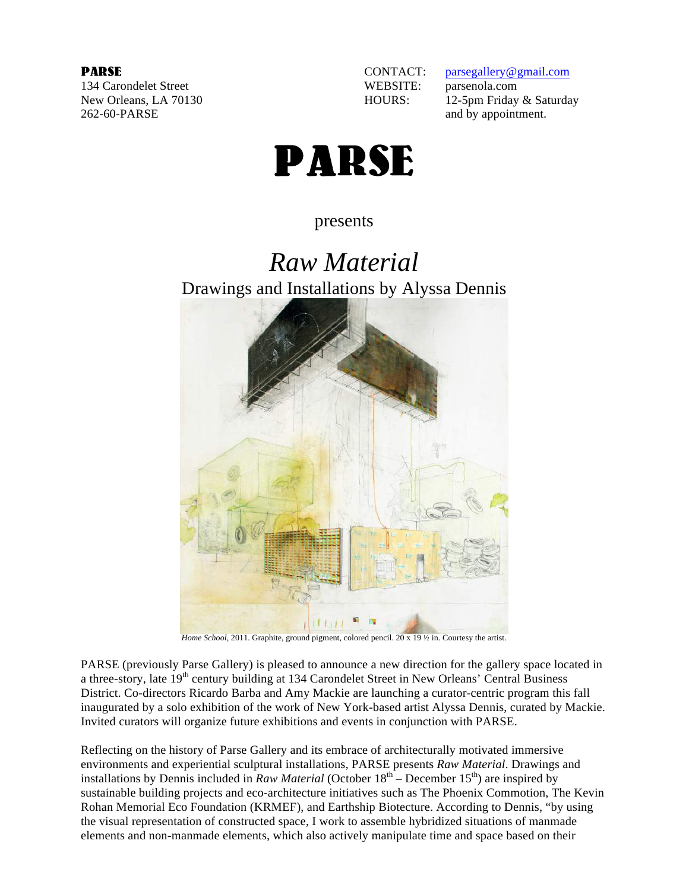134 Carondelet Street WEBSITE: parsenola.com 262-60-PARSE and by appointment.



**PARSE**<br>134 Carondelet Street **CONTACT:** parsegallery@gmail.com<br>134 Carondelet Street **CONTACT:** parsenola.com New Orleans, LA 70130 HOURS: 12-5pm Friday & Saturday



presents

# *Raw Material* Drawings and Installations by Alyssa Dennis



*Home School*, 2011. Graphite, ground pigment, colored pencil. 20 x 19 <sup>1</sup>/<sub>2</sub> in. Courtesy the artist.

PARSE (previously Parse Gallery) is pleased to announce a new direction for the gallery space located in a three-story, late 19<sup>th</sup> century building at 134 Carondelet Street in New Orleans' Central Business District. Co-directors Ricardo Barba and Amy Mackie are launching a curator-centric program this fall inaugurated by a solo exhibition of the work of New York-based artist Alyssa Dennis, curated by Mackie. Invited curators will organize future exhibitions and events in conjunction with PARSE.

Reflecting on the history of Parse Gallery and its embrace of architecturally motivated immersive environments and experiential sculptural installations, PARSE presents *Raw Material*. Drawings and installations by Dennis included in *Raw Material* (October  $18<sup>th</sup>$  – December  $15<sup>th</sup>$ ) are inspired by sustainable building projects and eco-architecture initiatives such as The Phoenix Commotion, The Kevin Rohan Memorial Eco Foundation (KRMEF), and Earthship Biotecture. According to Dennis, "by using the visual representation of constructed space, I work to assemble hybridized situations of manmade elements and non-manmade elements, which also actively manipulate time and space based on their